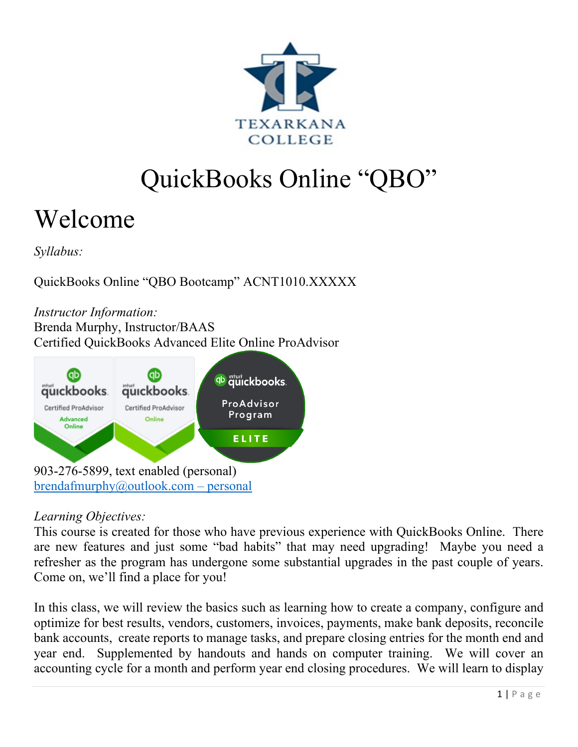

# QuickBooks Online "QBO"

# Welcome

*Syllabus:*

QuickBooks Online "QBO Bootcamp" ACNT1010.XXXXX

*Instructor Information:*  Brenda Murphy, Instructor/BAAS Certified QuickBooks Advanced Elite Online ProAdvisor



## *Learning Objectives:*

This course is created for those who have previous experience with QuickBooks Online. There are new features and just some "bad habits" that may need upgrading! Maybe you need a refresher as the program has undergone some substantial upgrades in the past couple of years. Come on, we'll find a place for you!

In this class, we will review the basics such as learning how to create a company, configure and optimize for best results, vendors, customers, invoices, payments, make bank deposits, reconcile bank accounts, create reports to manage tasks, and prepare closing entries for the month end and year end. Supplemented by handouts and hands on computer training. We will cover an accounting cycle for a month and perform year end closing procedures. We will learn to display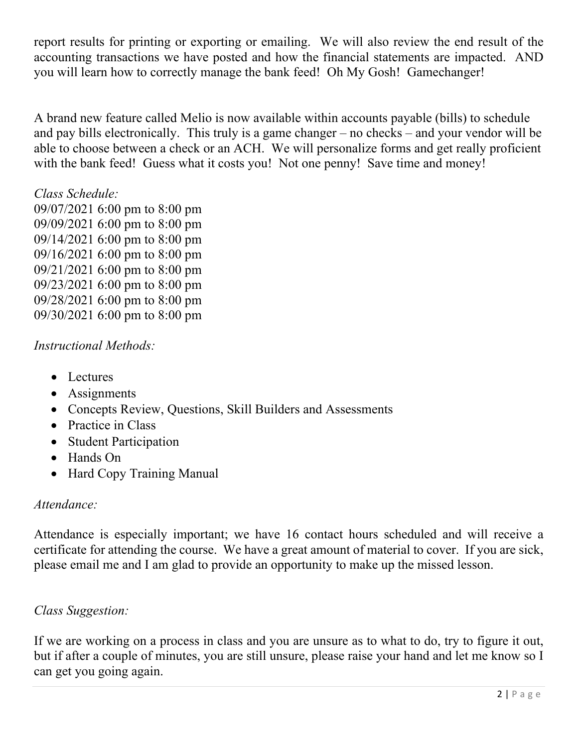report results for printing or exporting or emailing. We will also review the end result of the accounting transactions we have posted and how the financial statements are impacted. AND you will learn how to correctly manage the bank feed! Oh My Gosh! Gamechanger!

A brand new feature called Melio is now available within accounts payable (bills) to schedule and pay bills electronically. This truly is a game changer – no checks – and your vendor will be able to choose between a check or an ACH. We will personalize forms and get really proficient with the bank feed! Guess what it costs you! Not one penny! Save time and money!

*Class Schedule:*

09/07/2021 6:00 pm to 8:00 pm 09/09/2021 6:00 pm to 8:00 pm 09/14/2021 6:00 pm to 8:00 pm 09/16/2021 6:00 pm to 8:00 pm 09/21/2021 6:00 pm to 8:00 pm 09/23/2021 6:00 pm to 8:00 pm 09/28/2021 6:00 pm to 8:00 pm 09/30/2021 6:00 pm to 8:00 pm

#### *Instructional Methods:*

- Lectures
- Assignments
- Concepts Review, Questions, Skill Builders and Assessments
- Practice in Class
- Student Participation
- Hands On
- Hard Copy Training Manual

#### *Attendance:*

Attendance is especially important; we have 16 contact hours scheduled and will receive a certificate for attending the course. We have a great amount of material to cover. If you are sick, please email me and I am glad to provide an opportunity to make up the missed lesson.

## *Class Suggestion:*

If we are working on a process in class and you are unsure as to what to do, try to figure it out, but if after a couple of minutes, you are still unsure, please raise your hand and let me know so I can get you going again.